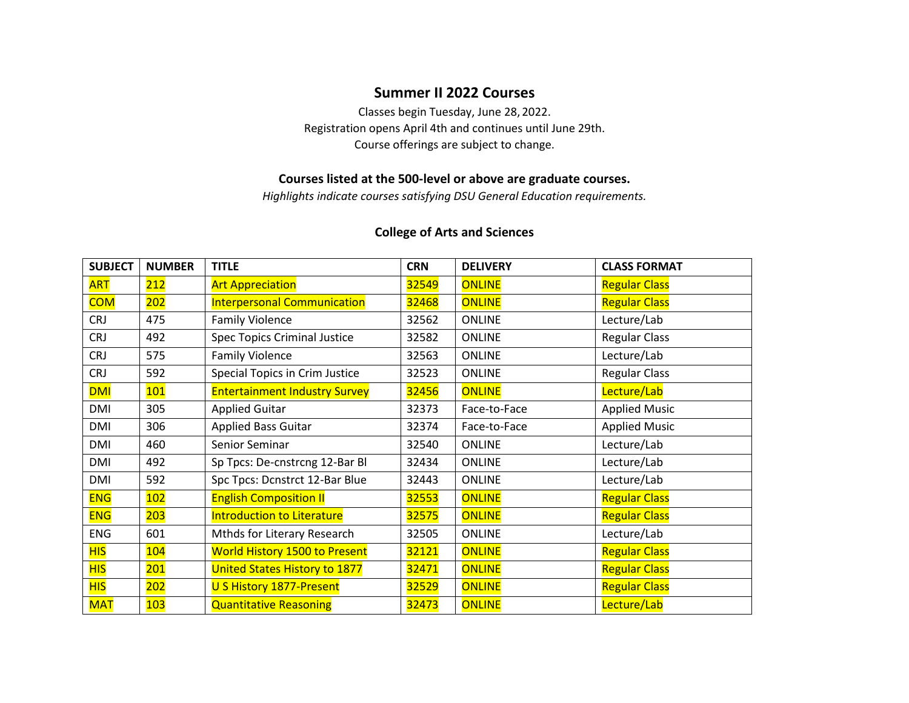## **Summer II 2022 Courses**

Classes begin Tuesday, June 28, 2022. Registration opens April 4th and continues until June 29th. Course offerings are subject to change.

## **Courses listed at the 500-level or above are graduate courses.**

*Highlights indicate courses satisfying DSU General Education requirements.*

#### **College of Arts and Sciences**

| <b>SUBJECT</b> | <b>NUMBER</b> | <b>TITLE</b>                         | <b>CRN</b> | <b>DELIVERY</b> | <b>CLASS FORMAT</b>  |
|----------------|---------------|--------------------------------------|------------|-----------------|----------------------|
| <b>ART</b>     | 212           | <b>Art Appreciation</b>              | 32549      | <b>ONLINE</b>   | <b>Regular Class</b> |
| <b>COM</b>     | 202           | <b>Interpersonal Communication</b>   | 32468      | <b>ONLINE</b>   | <b>Regular Class</b> |
| <b>CRJ</b>     | 475           | <b>Family Violence</b>               | 32562      | <b>ONLINE</b>   | Lecture/Lab          |
| <b>CRJ</b>     | 492           | <b>Spec Topics Criminal Justice</b>  | 32582      | <b>ONLINE</b>   | <b>Regular Class</b> |
| <b>CRJ</b>     | 575           | <b>Family Violence</b>               | 32563      | <b>ONLINE</b>   | Lecture/Lab          |
| <b>CRJ</b>     | 592           | Special Topics in Crim Justice       | 32523      | <b>ONLINE</b>   | <b>Regular Class</b> |
| <b>DMI</b>     | 101           | <b>Entertainment Industry Survey</b> | 32456      | <b>ONLINE</b>   | Lecture/Lab          |
| DMI            | 305           | <b>Applied Guitar</b>                | 32373      | Face-to-Face    | <b>Applied Music</b> |
| DMI            | 306           | <b>Applied Bass Guitar</b>           | 32374      | Face-to-Face    | <b>Applied Music</b> |
| DMI            | 460           | Senior Seminar                       | 32540      | <b>ONLINE</b>   | Lecture/Lab          |
| DMI            | 492           | Sp Tpcs: De-cnstrcng 12-Bar Bl       | 32434      | <b>ONLINE</b>   | Lecture/Lab          |
| DMI            | 592           | Spc Tpcs: Dcnstrct 12-Bar Blue       | 32443      | <b>ONLINE</b>   | Lecture/Lab          |
| <b>ENG</b>     | 102           | <b>English Composition II</b>        | 32553      | <b>ONLINE</b>   | <b>Regular Class</b> |
| <b>ENG</b>     | 203           | <b>Introduction to Literature</b>    | 32575      | <b>ONLINE</b>   | <b>Regular Class</b> |
| <b>ENG</b>     | 601           | Mthds for Literary Research          | 32505      | <b>ONLINE</b>   | Lecture/Lab          |
| <b>HIS</b>     | 104           | <b>World History 1500 to Present</b> | 32121      | <b>ONLINE</b>   | <b>Regular Class</b> |
| <b>HIS</b>     | 201           | <b>United States History to 1877</b> | 32471      | <b>ONLINE</b>   | <b>Regular Class</b> |
| <b>HIS</b>     | 202           | U S History 1877-Present             | 32529      | <b>ONLINE</b>   | <b>Regular Class</b> |
| <b>MAT</b>     | 103           | <b>Quantitative Reasoning</b>        | 32473      | <b>ONLINE</b>   | Lecture/Lab          |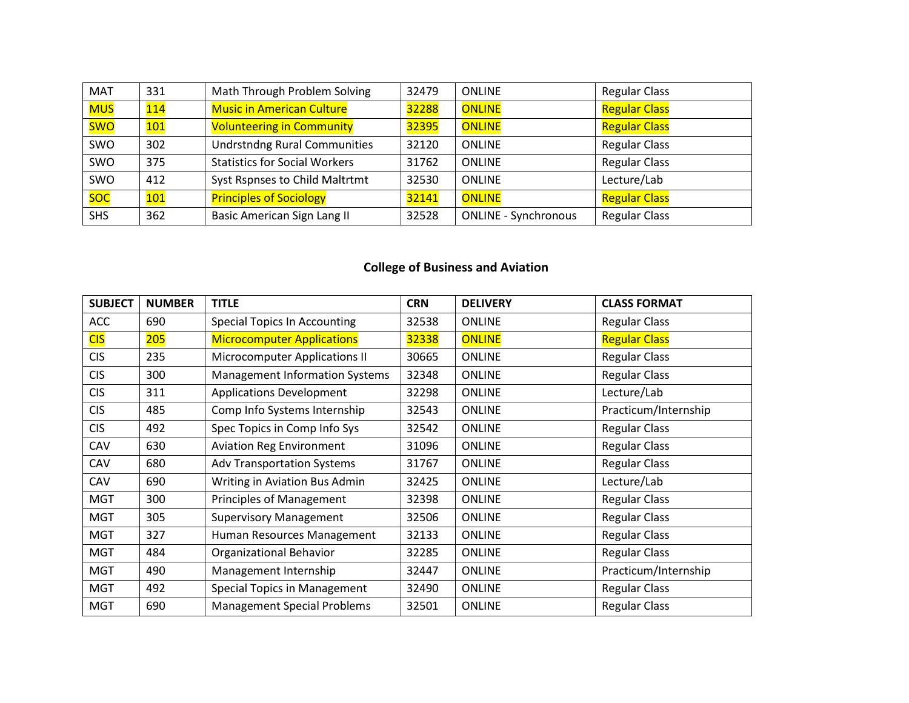| <b>MAT</b> | 331 | Math Through Problem Solving         | 32479 | <b>ONLINE</b>               | <b>Regular Class</b> |
|------------|-----|--------------------------------------|-------|-----------------------------|----------------------|
| <b>MUS</b> | 114 | <b>Music in American Culture</b>     | 32288 | <b>ONLINE</b>               | <b>Regular Class</b> |
| <b>SWO</b> | 101 | <b>Volunteering in Community</b>     | 32395 | <b>ONLINE</b>               | <b>Regular Class</b> |
| SWO        | 302 | <b>Undrstndng Rural Communities</b>  | 32120 | <b>ONLINE</b>               | <b>Regular Class</b> |
| SWO        | 375 | <b>Statistics for Social Workers</b> | 31762 | <b>ONLINE</b>               | <b>Regular Class</b> |
| SWO        | 412 | Syst Rspnses to Child Maltrtmt       | 32530 | <b>ONLINE</b>               | Lecture/Lab          |
| soc        | 101 | <b>Principles of Sociology</b>       | 32141 | <b>ONLINE</b>               | <b>Regular Class</b> |
| <b>SHS</b> | 362 | <b>Basic American Sign Lang II</b>   | 32528 | <b>ONLINE - Synchronous</b> | <b>Regular Class</b> |

# **College of Business and Aviation**

| <b>SUBJECT</b> | <b>NUMBER</b> | <b>TITLE</b>                          | <b>CRN</b> | <b>DELIVERY</b> | <b>CLASS FORMAT</b>  |
|----------------|---------------|---------------------------------------|------------|-----------------|----------------------|
| <b>ACC</b>     | 690           | <b>Special Topics In Accounting</b>   | 32538      | <b>ONLINE</b>   | <b>Regular Class</b> |
| <b>CIS</b>     | 205           | <b>Microcomputer Applications</b>     | 32338      | <b>ONLINE</b>   | <b>Regular Class</b> |
| <b>CIS</b>     | 235           | <b>Microcomputer Applications II</b>  | 30665      | <b>ONLINE</b>   | <b>Regular Class</b> |
| <b>CIS</b>     | 300           | <b>Management Information Systems</b> | 32348      | <b>ONLINE</b>   | <b>Regular Class</b> |
| <b>CIS</b>     | 311           | <b>Applications Development</b>       | 32298      | <b>ONLINE</b>   | Lecture/Lab          |
| <b>CIS</b>     | 485           | Comp Info Systems Internship          | 32543      | <b>ONLINE</b>   | Practicum/Internship |
| <b>CIS</b>     | 492           | Spec Topics in Comp Info Sys          | 32542      | <b>ONLINE</b>   | <b>Regular Class</b> |
| CAV            | 630           | <b>Aviation Reg Environment</b>       | 31096      | <b>ONLINE</b>   | <b>Regular Class</b> |
| CAV            | 680           | <b>Adv Transportation Systems</b>     | 31767      | <b>ONLINE</b>   | <b>Regular Class</b> |
| CAV            | 690           | Writing in Aviation Bus Admin         | 32425      | <b>ONLINE</b>   | Lecture/Lab          |
| <b>MGT</b>     | 300           | <b>Principles of Management</b>       | 32398      | <b>ONLINE</b>   | <b>Regular Class</b> |
| <b>MGT</b>     | 305           | <b>Supervisory Management</b>         | 32506      | <b>ONLINE</b>   | <b>Regular Class</b> |
| <b>MGT</b>     | 327           | Human Resources Management            | 32133      | <b>ONLINE</b>   | <b>Regular Class</b> |
| <b>MGT</b>     | 484           | Organizational Behavior               | 32285      | <b>ONLINE</b>   | <b>Regular Class</b> |
| <b>MGT</b>     | 490           | Management Internship                 | 32447      | <b>ONLINE</b>   | Practicum/Internship |
| <b>MGT</b>     | 492           | Special Topics in Management          | 32490      | <b>ONLINE</b>   | <b>Regular Class</b> |
| <b>MGT</b>     | 690           | <b>Management Special Problems</b>    | 32501      | <b>ONLINE</b>   | <b>Regular Class</b> |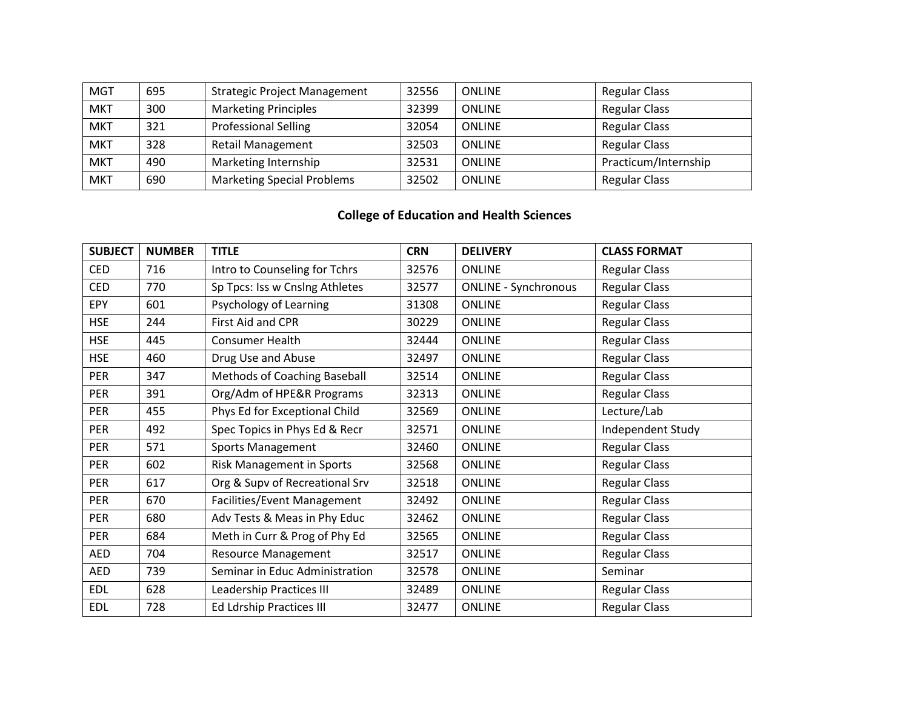| <b>MGT</b> | 695 | <b>Strategic Project Management</b> | 32556 | <b>ONLINE</b> | <b>Regular Class</b> |
|------------|-----|-------------------------------------|-------|---------------|----------------------|
| <b>MKT</b> | 300 | <b>Marketing Principles</b>         | 32399 | <b>ONLINE</b> | <b>Regular Class</b> |
| <b>MKT</b> | 321 | <b>Professional Selling</b>         | 32054 | <b>ONLINE</b> | <b>Regular Class</b> |
| <b>MKT</b> | 328 | <b>Retail Management</b>            | 32503 | <b>ONLINE</b> | <b>Regular Class</b> |
| <b>MKT</b> | 490 | Marketing Internship                | 32531 | <b>ONLINE</b> | Practicum/Internship |
| <b>MKT</b> | 690 | <b>Marketing Special Problems</b>   | 32502 | <b>ONLINE</b> | <b>Regular Class</b> |

# **College of Education and Health Sciences**

| <b>SUBJECT</b> | <b>NUMBER</b> | <b>TITLE</b>                    | <b>CRN</b> | <b>DELIVERY</b>             | <b>CLASS FORMAT</b>  |
|----------------|---------------|---------------------------------|------------|-----------------------------|----------------------|
| <b>CED</b>     | 716           | Intro to Counseling for Tchrs   | 32576      | <b>ONLINE</b>               | <b>Regular Class</b> |
| <b>CED</b>     | 770           | Sp Tpcs: Iss w Cnslng Athletes  | 32577      | <b>ONLINE - Synchronous</b> | <b>Regular Class</b> |
| <b>EPY</b>     | 601           | Psychology of Learning          | 31308      | <b>ONLINE</b>               | <b>Regular Class</b> |
| <b>HSE</b>     | 244           | First Aid and CPR               | 30229      | <b>ONLINE</b>               | <b>Regular Class</b> |
| <b>HSE</b>     | 445           | <b>Consumer Health</b>          | 32444      | <b>ONLINE</b>               | <b>Regular Class</b> |
| <b>HSE</b>     | 460           | Drug Use and Abuse              | 32497      | <b>ONLINE</b>               | <b>Regular Class</b> |
| PER            | 347           | Methods of Coaching Baseball    | 32514      | <b>ONLINE</b>               | <b>Regular Class</b> |
| <b>PER</b>     | 391           | Org/Adm of HPE&R Programs       | 32313      | <b>ONLINE</b>               | <b>Regular Class</b> |
| <b>PER</b>     | 455           | Phys Ed for Exceptional Child   | 32569      | <b>ONLINE</b>               | Lecture/Lab          |
| PER            | 492           | Spec Topics in Phys Ed & Recr   | 32571      | <b>ONLINE</b>               | Independent Study    |
| <b>PER</b>     | 571           | <b>Sports Management</b>        | 32460      | <b>ONLINE</b>               | <b>Regular Class</b> |
| <b>PER</b>     | 602           | Risk Management in Sports       | 32568      | <b>ONLINE</b>               | <b>Regular Class</b> |
| <b>PER</b>     | 617           | Org & Supv of Recreational Srv  | 32518      | <b>ONLINE</b>               | <b>Regular Class</b> |
| PER            | 670           | Facilities/Event Management     | 32492      | <b>ONLINE</b>               | <b>Regular Class</b> |
| <b>PER</b>     | 680           | Adv Tests & Meas in Phy Educ    | 32462      | <b>ONLINE</b>               | <b>Regular Class</b> |
| <b>PER</b>     | 684           | Meth in Curr & Prog of Phy Ed   | 32565      | <b>ONLINE</b>               | <b>Regular Class</b> |
| AED            | 704           | <b>Resource Management</b>      | 32517      | <b>ONLINE</b>               | <b>Regular Class</b> |
| <b>AED</b>     | 739           | Seminar in Educ Administration  | 32578      | <b>ONLINE</b>               | Seminar              |
| <b>EDL</b>     | 628           | <b>Leadership Practices III</b> | 32489      | <b>ONLINE</b>               | <b>Regular Class</b> |
| <b>EDL</b>     | 728           | <b>Ed Ldrship Practices III</b> | 32477      | <b>ONLINE</b>               | <b>Regular Class</b> |